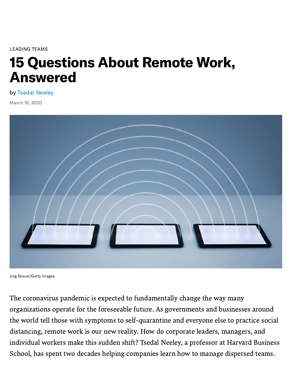[LEADING](https://hbr.org/topic/leading-teams) TEAMS

# 15 Questions About Remote Work, Answered

#### by Tsedal [Neeley](https://hbr.org/search?term=tsedal%20neeley)

March 16, 2020



Jorg Greuel/Getty Images

The coronavirus pandemic is expected to fundamentally change the way many organizations operate for the foreseeable future. As governments and businesses around the world tell those with symptoms to self-quarantine and everyone else to practice social distancing, remote work is our new reality. How do corporate leaders, managers, and individual workers make this sudden shift? Tsedal Neeley, a professor at Harvard Business School, has spent two decades helping companies learn how to manage [dispersed](https://hbr.org/2015/10/global-teams-that-work) teams.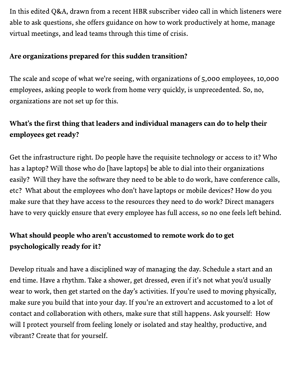In this edited Q&A, drawn from a recent HBR subscriber video call in which listeners were able to ask questions, she offers guidance on how to work productively at home, manage virtual meetings, and lead teams through this time of crisis.

#### Are organizations prepared for this sudden transition?

The scale and scope of what we're seeing, with organizations of 5,000 employees, 10,000 employees, asking people to work from home very quickly, is unprecedented. So, no, organizations are not set up for this.

# What's the first thing that leaders and individual managers can do to help their employees get ready?

Get the infrastructure right. Do people have the requisite technology or access to it? Who has a laptop? Will those who do [have laptops] be able to dial into their organizations easily? Will they have the software they need to be able to do work, have conference calls, etc? What about the employees who don't have laptops or mobile devices? How do you make sure that they have access to the resources they need to do work? Direct managers have to very quickly ensure that every employee has full access, so no one feels left behind.

# What should people who aren't accustomed to remote work do to get psychologically ready for it?

Develop [rituals](https://hbr.org/2010/12/the-value-of-ritual-in-your-wo) and have a disciplined way of managing the day. Schedule a start and an end time. Have a rhythm. Take a shower, get dressed, even if it's not what you'd usually wear to work, then get started on the day's activities. If you're used to moving physically, make sure you build that into your day. If you're an extrovert and accustomed to a lot of contact and collaboration with others, make sure that still happens. Ask yourself: How will I protect yourself from feeling lonely or isolated and stay healthy, productive, and vibrant? Create that for yourself.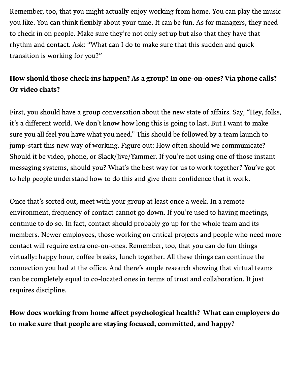Remember, too, that you might actually enjoy working from home. You can play the music you like. You can think flexibly about your time. It can be fun. As for managers, they need to check in on people. Make sure they're not only set up but also that they have that rhythm and contact. Ask: "What can I do to make sure that this sudden and quick transition is working for you?"

# How should those check-ins happen? As a group? In one-on-ones? Via phone calls? Or video chats?

First, you should have a group conversation about the new state of affairs. Say, "Hey, folks, it's a different world. We don't know how long this is going to last. But I want to make sure you all feel you have what you need." This should be followed by a team [launch](https://hbr.org/2014/03/get-your-virtual-team-off-to-a-fast-start) to jump-start this new way of working. Figure out: How often should we communicate? Should it be video, phone, or Slack/Jive/Yammer. If you're not using one of those instant messaging systems, should you? What's the best way for us to work together? You've got to help people understand how to do this and give them confidence that it work.

Once that's sorted out, meet with your group at least once a week. In a remote environment, frequency of contact cannot go down. If you're used to having meetings, continue to do so. In fact, contact should probably go up for the whole team and its members. Newer employees, those working on critical projects and people who need more contact will require extra one-on-ones. Remember, too, that you can do fun things virtually: happy hour, coffee breaks, lunch together. All these things can continue the connection you had at the office. And there's ample research showing that virtual teams can be completely equal to co-located ones in terms of trust and collaboration. It just requires discipline.

How does working from home affect [psychological](https://hbr.org/2018/11/helping-remote-workers-avoid-loneliness-and-burnout) health? What can employers do to make sure that people are staying focused, committed, and happy?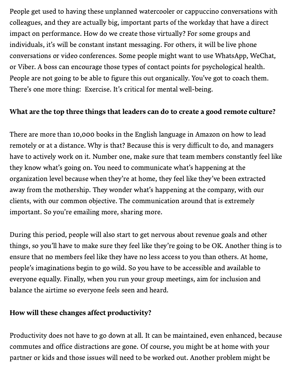People get used to having these unplanned watercooler or cappuccino conversations with colleagues, and they are actually big, important parts of the workday that have a direct impact on performance. How do we create those virtually? For some groups and individuals, it's will be constant instant messaging. For others, it will be live phone conversations or video conferences. Some people might want to use WhatsApp, WeChat, or Viber. A boss can encourage those types of contact points for psychological health. People are not going to be able to figure this out organically. You've got to coach them. There's one more thing: Exercise. It's critical for mental well-being.

#### What are the top three things that leaders can do to create a good remote culture?

There are more than 10,000 books in the English language in Amazon on how to lead remotely or at a distance. Why is that? Because this is very difficult to do, and managers have to actively work on it. Number one, make sure that team members constantly feel like they know what's going on. You need to communicate what's happening at the organization level because when they're at home, they feel like they've been extracted away from the mothership. They wonder what's happening at the company, with our clients, with our common objective. The communication around that is extremely important. So you're emailing more, sharing more.

During this period, people will also start to get nervous about revenue goals and other things, so you'll have to make sure they feel like they're going to be OK. Another thing is to ensure that no members feel like they have no less access to you than others. At home, people's imaginations begin to go wild. So you have to be accessible and available to everyone equally. Finally, when you run your group meetings, aim for inclusion and balance the airtime so everyone feels seen and heard.

#### How will these changes affect productivity?

[Productivity](https://www.inc.com/marcel-schwantes/new-study-reveals-why-working-from-home-makes-workers-more-productive.html) does not have to go down at all. It can be maintained, even enhanced, because commutes and office [distractions](https://hbr.org/2020/03/how-working-parents-can-prepare-for-coronavirus-closures) are gone. Of course, you might be at home with your partner or kids and those issues will need to be worked out. Another problem might be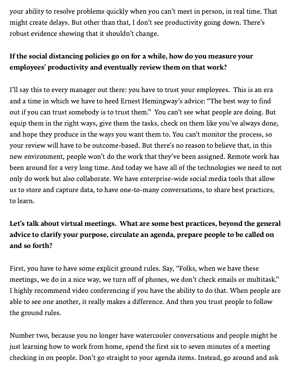your ability to resolve problems quickly when you can't meet in person, in real time. That might create delays. But other than that, I don't see productivity going down. There's robust evidence showing that it shouldn't change.

# If the social [distancing](https://www.theatlantic.com/family/archive/2020/03/coronavirus-what-does-social-distancing-mean/607927/) policies go on for a while, how do you measure your employees' productivity and eventually review them on that work?

I'll say this to every manager out there: you have to trust your employees. This is an era and a time in which we have to heed Ernest Hemingway's advice: "The best way to find out if you can trust somebody is to trust them." You can't see what people are doing. But equip them in the right ways, give them the tasks, check on them like you've always done, and hope they produce in the ways you want them to. You can't monitor the process, so your review will have to be outcome-based. But there's no reason to believe that, in this new environment, people won't do the work that they've been assigned. Remote work has been around for a very long time. And today we have all of the technologies we need to not only do work but also collaborate. We have enterprise-wide social media tools that allow us to store and capture data, to have one-to-many conversations, to share best practices, to learn.

# Let's talk about virtual [meetings](https://hbr.org/2020/03/what-it-takes-to-run-a-great-virtual-meeting?ab=hero-subleft-3). What are some best practices, beyond the general advice to clarify your purpose, circulate an agenda, prepare people to be called on and so forth?

First, you have to have some explicit ground rules. Say, "Folks, when we have these meetings, we do in a nice way, we turn off of phones, we don't check emails or multitask." I highly recommend video conferencing if you have the ability to do that. When people are able to see one another, it really makes a difference. And then you trust people to follow the ground rules.

Number two, because you no longer have watercooler conversations and people might be just learning how to work from home, spend the first six to seven minutes of a meeting checking in on people. Don't go straight to your agenda items. Instead, go around and ask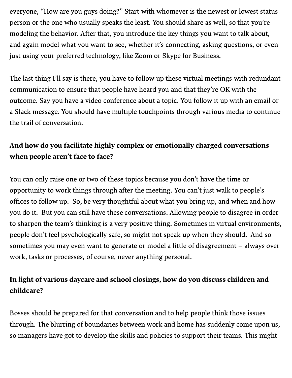everyone, "How are you guys doing?" Start with whomever is the newest or lowest status person or the one who usually speaks the least. You should share as well, so that you're modeling the behavior. After that, you introduce the key things you want to talk about, and again model what you want to see, whether it's connecting, asking questions, or even just using your preferred technology, like Zoom or Skype for Business.

The last thing I'll say is there, you have to follow up these virtual meetings with redundant communication to ensure that people have heard you and that they're OK with the outcome. Say you have a video conference about a topic. You follow it up with an email or a Slack message. You should have multiple touchpoints through various media to continue the trail of conversation.

# And how do you facilitate highly complex or emotionally charged conversations when people aren't face to face?

You can only raise one or two of these topics because you don't have the time or opportunity to work things through after the meeting. You can't just walk to people's offices to follow up. So, be very thoughtful about what you bring up, and when and how you do it. But you can still have these conversations. Allowing people to disagree in order to sharpen the team's thinking is a very positive thing. Sometimes in virtual environments, people don't feel [psychologically](https://hbr.org/podcast/2019/01/creating-psychological-safety-in-the-workplace) safe, so might not speak up when they should. And so sometimes you may even want to generate or model a little of disagreement – always over work, tasks or processes, of course, never anything personal.

#### In light of various daycare and school closings, how do you discuss children and [childcare?](https://hbr.org/2020/03/how-working-parents-can-prepare-for-coronavirus-closures)

Bosses should be prepared for that conversation and to help people think those issues through. The blurring of boundaries between work and home has suddenly come upon us, so managers have got to develop the skills and policies to support their teams. This might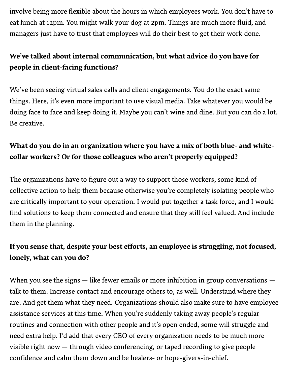involve being more flexible about the hours in which employees work. You don't have to eat lunch at 12pm. You might walk your dog at 2pm. Things are much more fluid, and managers just have to trust that employees will do their best to get their work done.

### We've talked about internal communication, but what advice do you have for people in client-facing functions?

We've been seeing virtual sales calls and client engagements. You do the exact same things. Here, it's even more important to use visual media. Take whatever you would be doing face to face and keep doing it. Maybe you can't wine and dine. But you can do a lot. Be creative.

# What do you do in an organization where you have a mix of both blue- and whitecollar workers? Or for those colleagues who aren't properly equipped?

The organizations have to figure out a way to support those workers, some kind of collective action to help them because otherwise you're completely isolating people who are critically important to your operation. I would put together a task force, and I would find solutions to keep them connected and ensure that they still feel valued. And include them in the planning.

### If you sense that, despite your best efforts, an employee is struggling, not focused, lonely, what can you do?

When you see the signs – like fewer emails or more inhibition in group conversations – talk to them. Increase contact and encourage others to, as well. Understand where they are. And get them what they need. Organizations should also make sure to have employee assistance services at this time. When you're suddenly taking away people's regular routines and connection with other people and it's open ended, some will struggle and need extra help. I'd add that every CEO of every organization needs to be much more visible right now — through video conferencing, or taped recording to give people confidence and calm them down and be healers- or hope-givers-in-chief.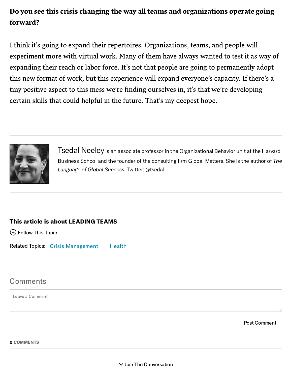### Do you see this crisis changing the way all teams and organizations operate going forward?

I think it's going to expand their repertoires. Organizations, teams, and people will experiment more with virtual work. Many of them have always wanted to test it as way of expanding their reach or labor force. It's not that people are going to permanently adopt this new format of work, but this experience will expand everyone's capacity. If there's a tiny positive aspect to this mess we're finding ourselves in, it's that we're developing certain skills that could helpful in the future. That's my deepest hope.



Tsedal [Neeley](https://hbr.org/search?term=tsedal%20neeley&search_type=search-all) is an [associate](http://www.tsedal.com/) professor in the Organizational Behavior unit at the Harvard Business School and the founder of the [consulting](https://www.amazon.com/dp/B071CPHNGT/ref=dp-kindle-redirect?_encoding=UTF8&btkr=1)) firm Global Matters. She is the author of The Language of Global Success. Twitter: [@tsedal](https://twitter.com/tsedal?lang=en)

#### This article is about [LEADING](https://hbr.org/topic/leading-teams) TEAMS

Follow This Topic

Related Topics: Crisis [Management](https://hbr.org/topic/crisis-management) | [Health](https://hbr.org/topic/health)

#### **Comments**

Leave a Comment

Post Comment

#### 0 COMMENTS

 $\vee$  Join The Conversation